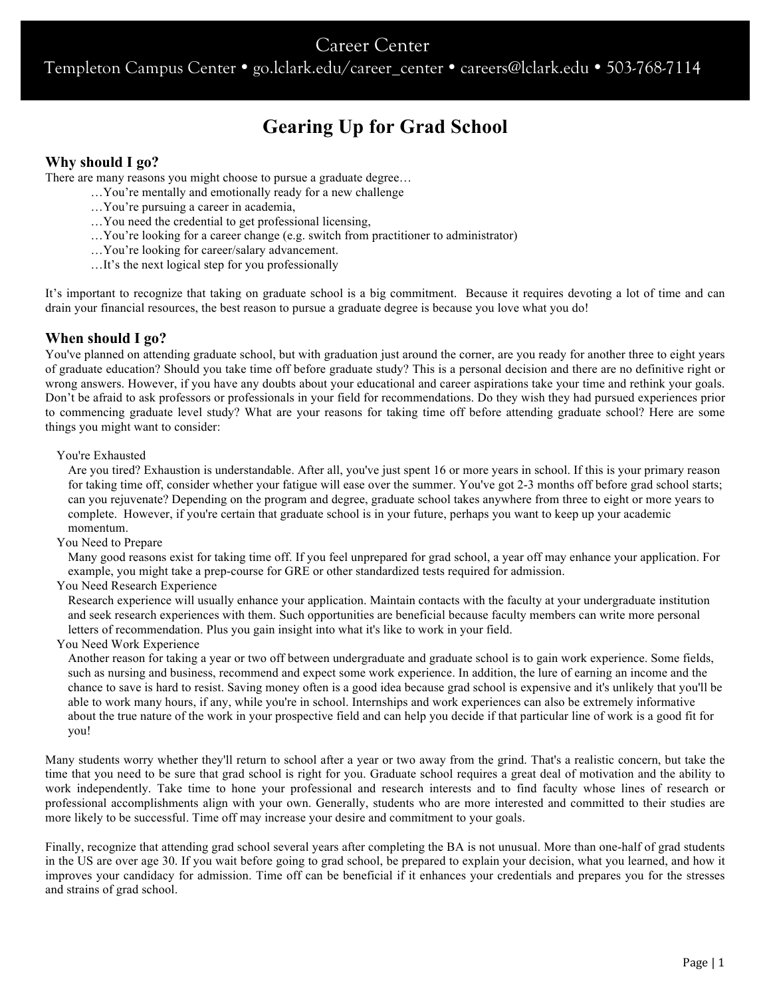# Career Center

Templeton Campus Center • go.lclark.edu/career\_center • careers@lclark.edu • 503-768-7114

# **Gearing Up for Grad School**

# **Why should I go?**

There are many reasons you might choose to pursue a graduate degree…

- …You're mentally and emotionally ready for a new challenge
- …You're pursuing a career in academia,
- …You need the credential to get professional licensing,
- …You're looking for a career change (e.g. switch from practitioner to administrator)
- …You're looking for career/salary advancement.
- …It's the next logical step for you professionally

It's important to recognize that taking on graduate school is a big commitment. Because it requires devoting a lot of time and can drain your financial resources, the best reason to pursue a graduate degree is because you love what you do!

# **When should I go?**

You've planned on attending graduate school, but with graduation just around the corner, are you ready for another three to eight years of graduate education? Should you take time off before graduate study? This is a personal decision and there are no definitive right or wrong answers. However, if you have any doubts about your educational and career aspirations take your time and rethink your goals. Don't be afraid to ask professors or professionals in your field for recommendations. Do they wish they had pursued experiences prior to commencing graduate level study? What are your reasons for taking time off before attending graduate school? Here are some things you might want to consider:

#### You're Exhausted

Are you tired? Exhaustion is understandable. After all, you've just spent 16 or more years in school. If this is your primary reason for taking time off, consider whether your fatigue will ease over the summer. You've got 2-3 months off before grad school starts; can you rejuvenate? Depending on the program and degree, graduate school takes anywhere from three to eight or more years to complete. However, if you're certain that graduate school is in your future, perhaps you want to keep up your academic momentum.

You Need to Prepare

Many good reasons exist for taking time off. If you feel unprepared for grad school, a year off may enhance your application. For example, you might take a prep-course for GRE or other standardized tests required for admission.

You Need Research Experience

Research experience will usually enhance your application. Maintain contacts with the faculty at your undergraduate institution and seek research experiences with them. Such opportunities are beneficial because faculty members can write more personal letters of recommendation. Plus you gain insight into what it's like to work in your field.

You Need Work Experience

Another reason for taking a year or two off between undergraduate and graduate school is to gain work experience. Some fields, such as nursing and business, recommend and expect some work experience. In addition, the lure of earning an income and the chance to save is hard to resist. Saving money often is a good idea because grad school is expensive and it's unlikely that you'll be able to work many hours, if any, while you're in school. Internships and work experiences can also be extremely informative about the true nature of the work in your prospective field and can help you decide if that particular line of work is a good fit for you!

Many students worry whether they'll return to school after a year or two away from the grind. That's a realistic concern, but take the time that you need to be sure that grad school is right for you. Graduate school requires a great deal of motivation and the ability to work independently. Take time to hone your professional and research interests and to find faculty whose lines of research or professional accomplishments align with your own. Generally, students who are more interested and committed to their studies are more likely to be successful. Time off may increase your desire and commitment to your goals.

Finally, recognize that attending grad school several years after completing the BA is not unusual. More than one-half of grad students in the US are over age 30. If you wait before going to grad school, be prepared to explain your decision, what you learned, and how it improves your candidacy for admission. Time off can be beneficial if it enhances your credentials and prepares you for the stresses and strains of grad school.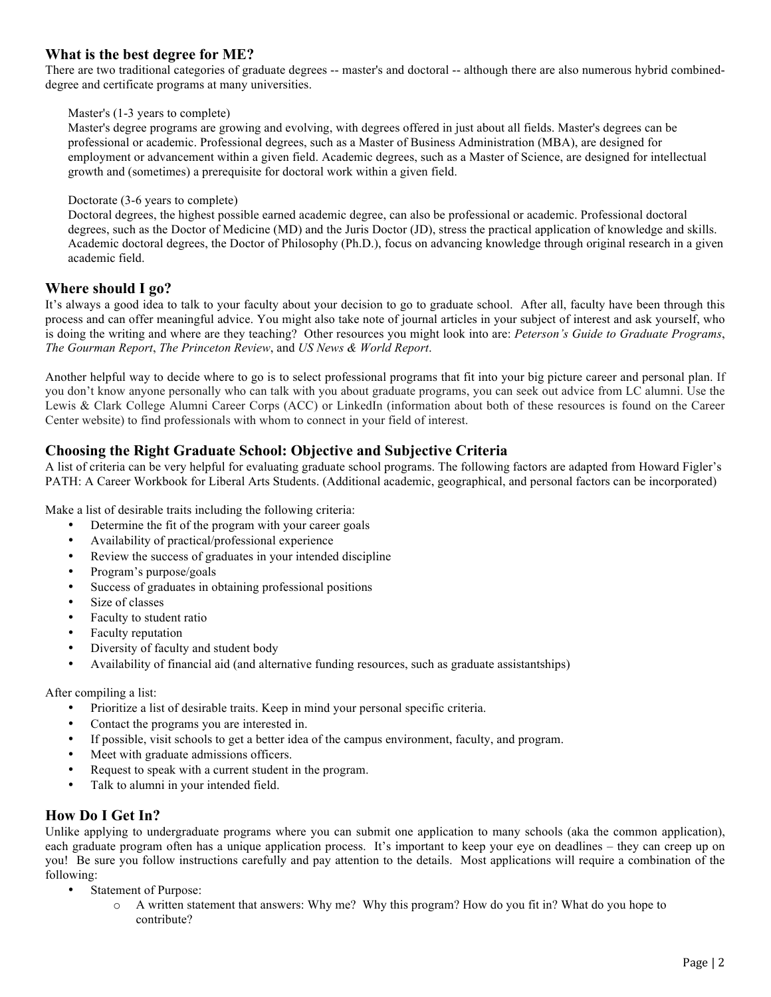# **What is the best degree for ME?**

There are two traditional categories of graduate degrees -- master's and doctoral -- although there are also numerous hybrid combineddegree and certificate programs at many universities.

#### Master's (1-3 years to complete)

Master's degree programs are growing and evolving, with degrees offered in just about all fields. Master's degrees can be professional or academic. Professional degrees, such as a Master of Business Administration (MBA), are designed for employment or advancement within a given field. Academic degrees, such as a Master of Science, are designed for intellectual growth and (sometimes) a prerequisite for doctoral work within a given field.

#### Doctorate (3-6 years to complete)

Doctoral degrees, the highest possible earned academic degree, can also be professional or academic. Professional doctoral degrees, such as the Doctor of Medicine (MD) and the Juris Doctor (JD), stress the practical application of knowledge and skills. Academic doctoral degrees, the Doctor of Philosophy (Ph.D.), focus on advancing knowledge through original research in a given academic field.

# **Where should I go?**

It's always a good idea to talk to your faculty about your decision to go to graduate school. After all, faculty have been through this process and can offer meaningful advice. You might also take note of journal articles in your subject of interest and ask yourself, who is doing the writing and where are they teaching? Other resources you might look into are: *Peterson's Guide to Graduate Programs*, *The Gourman Report*, *The Princeton Review*, and *US News & World Report*.

Another helpful way to decide where to go is to select professional programs that fit into your big picture career and personal plan. If you don't know anyone personally who can talk with you about graduate programs, you can seek out advice from LC alumni. Use the Lewis & Clark College Alumni Career Corps (ACC) or LinkedIn (information about both of these resources is found on the Career Center website) to find professionals with whom to connect in your field of interest.

# **Choosing the Right Graduate School: Objective and Subjective Criteria**

A list of criteria can be very helpful for evaluating graduate school programs. The following factors are adapted from Howard Figler's PATH: A Career Workbook for Liberal Arts Students. (Additional academic, geographical, and personal factors can be incorporated)

Make a list of desirable traits including the following criteria:

- Determine the fit of the program with your career goals
- Availability of practical/professional experience
- Review the success of graduates in your intended discipline
- Program's purpose/goals
- Success of graduates in obtaining professional positions
- Size of classes
- Faculty to student ratio
- Faculty reputation
- Diversity of faculty and student body
- Availability of financial aid (and alternative funding resources, such as graduate assistantships)

After compiling a list:

- Prioritize a list of desirable traits. Keep in mind your personal specific criteria.
- Contact the programs you are interested in.
- If possible, visit schools to get a better idea of the campus environment, faculty, and program.
- Meet with graduate admissions officers.
- Request to speak with a current student in the program.
- Talk to alumni in your intended field.

# **How Do I Get In?**

Unlike applying to undergraduate programs where you can submit one application to many schools (aka the common application), each graduate program often has a unique application process. It's important to keep your eye on deadlines – they can creep up on you! Be sure you follow instructions carefully and pay attention to the details. Most applications will require a combination of the following:

- Statement of Purpose:
	- o A written statement that answers: Why me? Why this program? How do you fit in? What do you hope to contribute?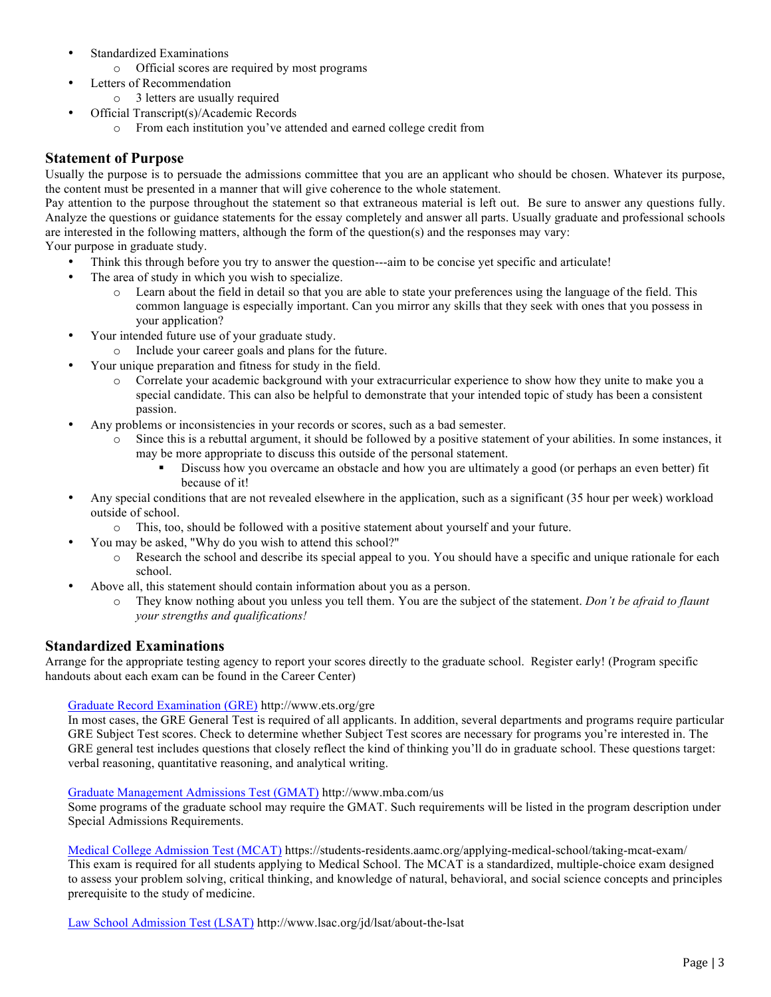- Standardized Examinations
	- o Official scores are required by most programs
- Letters of Recommendation
	- o 3 letters are usually required
- Official Transcript(s)/Academic Records
	- o From each institution you've attended and earned college credit from

# **Statement of Purpose**

Usually the purpose is to persuade the admissions committee that you are an applicant who should be chosen. Whatever its purpose, the content must be presented in a manner that will give coherence to the whole statement.

Pay attention to the purpose throughout the statement so that extraneous material is left out. Be sure to answer any questions fully. Analyze the questions or guidance statements for the essay completely and answer all parts. Usually graduate and professional schools are interested in the following matters, although the form of the question(s) and the responses may vary:

Your purpose in graduate study.

- Think this through before you try to answer the question---aim to be concise yet specific and articulate!
- The area of study in which you wish to specialize.
	- o Learn about the field in detail so that you are able to state your preferences using the language of the field. This common language is especially important. Can you mirror any skills that they seek with ones that you possess in your application?
- Your intended future use of your graduate study.
	- o Include your career goals and plans for the future.
	- Your unique preparation and fitness for study in the field.
		- o Correlate your academic background with your extracurricular experience to show how they unite to make you a special candidate. This can also be helpful to demonstrate that your intended topic of study has been a consistent passion.
- Any problems or inconsistencies in your records or scores, such as a bad semester.
	- Since this is a rebuttal argument, it should be followed by a positive statement of your abilities. In some instances, it may be more appropriate to discuss this outside of the personal statement.
		- Discuss how you overcame an obstacle and how you are ultimately a good (or perhaps an even better) fit because of it!
- Any special conditions that are not revealed elsewhere in the application, such as a significant (35 hour per week) workload outside of school.
	- o This, too, should be followed with a positive statement about yourself and your future.
- You may be asked, "Why do you wish to attend this school?"
	- o Research the school and describe its special appeal to you. You should have a specific and unique rationale for each school.
- Above all, this statement should contain information about you as a person.
	- They know nothing about you unless you tell them. You are the subject of the statement. *Don't be afraid to flaunt your strengths and qualifications!*

# **Standardized Examinations**

Arrange for the appropriate testing agency to report your scores directly to the graduate school. Register early! (Program specific handouts about each exam can be found in the Career Center)

## Graduate Record Examination (GRE) http://www.ets.org/gre

In most cases, the GRE General Test is required of all applicants. In addition, several departments and programs require particular GRE Subject Test scores. Check to determine whether Subject Test scores are necessary for programs you're interested in. The GRE general test includes questions that closely reflect the kind of thinking you'll do in graduate school. These questions target: verbal reasoning, quantitative reasoning, and analytical writing.

#### Graduate Management Admissions Test (GMAT) http://www.mba.com/us

Some programs of the graduate school may require the GMAT. Such requirements will be listed in the program description under Special Admissions Requirements.

Medical College Admission Test (MCAT) https://students-residents.aamc.org/applying-medical-school/taking-mcat-exam/ This exam is required for all students applying to Medical School. The MCAT is a standardized, multiple-choice exam designed to assess your problem solving, critical thinking, and knowledge of natural, behavioral, and social science concepts and principles prerequisite to the study of medicine.

Law School Admission Test (LSAT) http://www.lsac.org/jd/lsat/about-the-lsat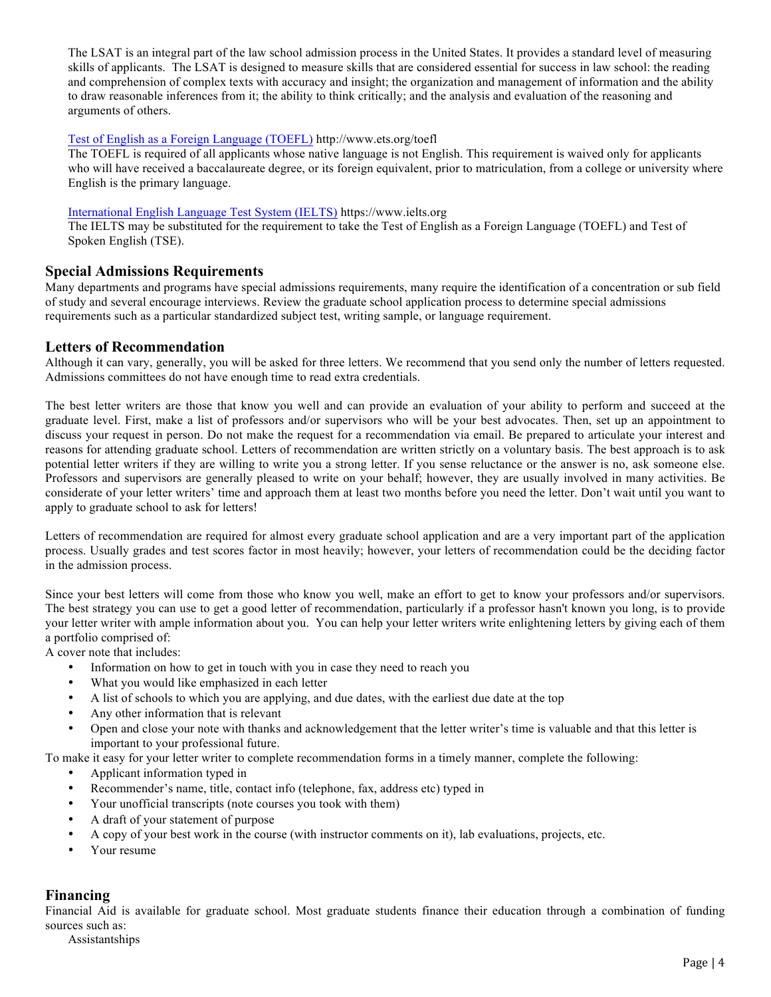The LSAT is an integral part of the law school admission process in the United States. It provides a standard level of measuring skills of applicants. The LSAT is designed to measure skills that are considered essential for success in law school: the reading and comprehension of complex texts with accuracy and insight; the organization and management of information and the ability to draw reasonable inferences from it; the ability to think critically; and the analysis and evaluation of the reasoning and arguments of others.

## Test of English as a Foreign Language (TOEFL) http://www.ets.org/toefl

The TOEFL is required of all applicants whose native language is not English. This requirement is waived only for applicants who will have received a baccalaureate degree, or its foreign equivalent, prior to matriculation, from a college or university where English is the primary language.

#### International English Language Test System (IELTS) https://www.ielts.org

The IELTS may be substituted for the requirement to take the Test of English as a Foreign Language (TOEFL) and Test of Spoken English (TSE).

## **Special Admissions Requirements**

Many departments and programs have special admissions requirements, many require the identification of a concentration or sub field of study and several encourage interviews. Review the graduate school application process to determine special admissions requirements such as a particular standardized subject test, writing sample, or language requirement.

## **Letters of Recommendation**

Although it can vary, generally, you will be asked for three letters. We recommend that you send only the number of letters requested. Admissions committees do not have enough time to read extra credentials.

The best letter writers are those that know you well and can provide an evaluation of your ability to perform and succeed at the graduate level. First, make a list of professors and/or supervisors who will be your best advocates. Then, set up an appointment to discuss your request in person. Do not make the request for a recommendation via email. Be prepared to articulate your interest and reasons for attending graduate school. Letters of recommendation are written strictly on a voluntary basis. The best approach is to ask potential letter writers if they are willing to write you a strong letter. If you sense reluctance or the answer is no, ask someone else. Professors and supervisors are generally pleased to write on your behalf; however, they are usually involved in many activities. Be considerate of your letter writers' time and approach them at least two months before you need the letter. Don't wait until you want to apply to graduate school to ask for letters!

Letters of recommendation are required for almost every graduate school application and are a very important part of the application process. Usually grades and test scores factor in most heavily; however, your letters of recommendation could be the deciding factor in the admission process.

Since your best letters will come from those who know you well, make an effort to get to know your professors and/or supervisors. The best strategy you can use to get a good letter of recommendation, particularly if a professor hasn't known you long, is to provide your letter writer with ample information about you. You can help your letter writers write enlightening letters by giving each of them a portfolio comprised of:

A cover note that includes:

- Information on how to get in touch with you in case they need to reach you
- What you would like emphasized in each letter
- A list of schools to which you are applying, and due dates, with the earliest due date at the top
- Any other information that is relevant
- Open and close your note with thanks and acknowledgement that the letter writer's time is valuable and that this letter is important to your professional future.

To make it easy for your letter writer to complete recommendation forms in a timely manner, complete the following:

- Applicant information typed in
- Recommender's name, title, contact info (telephone, fax, address etc) typed in
- Your unofficial transcripts (note courses you took with them)
- A draft of your statement of purpose
- A copy of your best work in the course (with instructor comments on it), lab evaluations, projects, etc.
- Your resume

# **Financing**

Financial Aid is available for graduate school. Most graduate students finance their education through a combination of funding sources such as:

Assistantships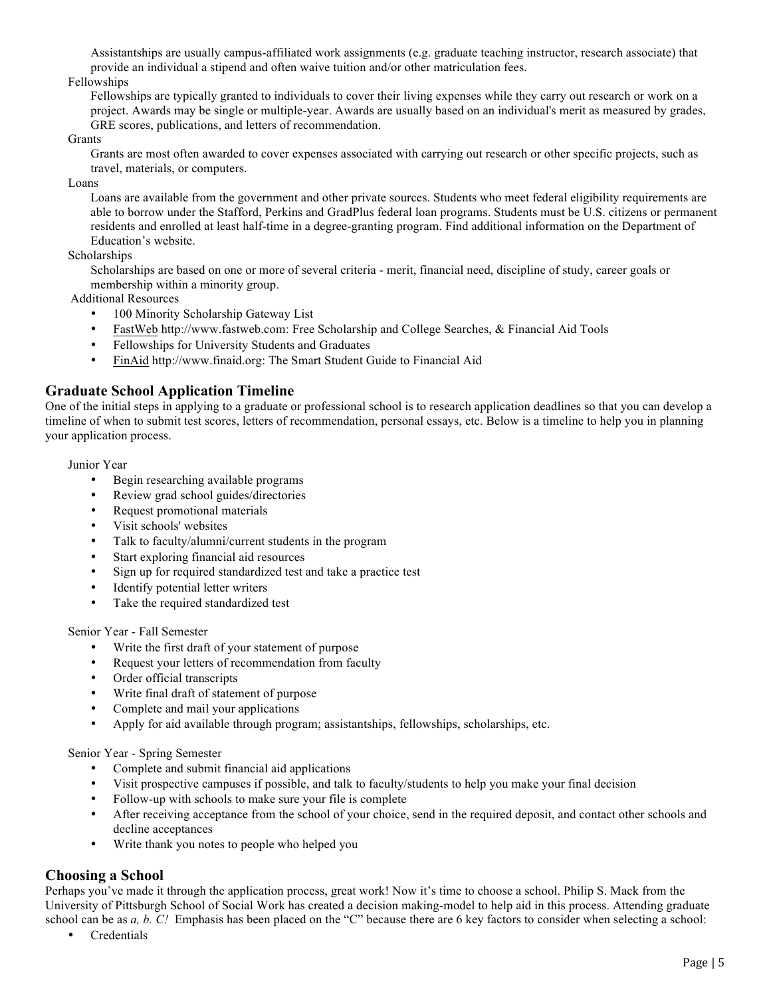Assistantships are usually campus-affiliated work assignments (e.g. graduate teaching instructor, research associate) that provide an individual a stipend and often waive tuition and/or other matriculation fees.

#### Fellowships

Fellowships are typically granted to individuals to cover their living expenses while they carry out research or work on a project. Awards may be single or multiple-year. Awards are usually based on an individual's merit as measured by grades, GRE scores, publications, and letters of recommendation.

#### Grants

Grants are most often awarded to cover expenses associated with carrying out research or other specific projects, such as travel, materials, or computers.

Loans

Loans are available from the government and other private sources. Students who meet federal eligibility requirements are able to borrow under the Stafford, Perkins and GradPlus federal loan programs. Students must be U.S. citizens or permanent residents and enrolled at least half-time in a degree-granting program. Find additional information on the Department of Education's website.

Scholarships

Scholarships are based on one or more of several criteria - merit, financial need, discipline of study, career goals or membership within a minority group.

Additional Resources

- 100 Minority Scholarship Gateway List
- FastWeb http://www.fastweb.com: Free Scholarship and College Searches, & Financial Aid Tools
- Fellowships for University Students and Graduates
- FinAid http://www.finaid.org: The Smart Student Guide to Financial Aid

## **Graduate School Application Timeline**

One of the initial steps in applying to a graduate or professional school is to research application deadlines so that you can develop a timeline of when to submit test scores, letters of recommendation, personal essays, etc. Below is a timeline to help you in planning your application process.

Junior Year

- Begin researching available programs
- Review grad school guides/directories
- Request promotional materials
- Visit schools' websites
- Talk to faculty/alumni/current students in the program
- Start exploring financial aid resources
- Sign up for required standardized test and take a practice test
- Identify potential letter writers
- Take the required standardized test

Senior Year - Fall Semester

- Write the first draft of your statement of purpose
- Request your letters of recommendation from faculty
- Order official transcripts
- Write final draft of statement of purpose
- Complete and mail your applications
- Apply for aid available through program; assistantships, fellowships, scholarships, etc.

Senior Year - Spring Semester

- Complete and submit financial aid applications
- Visit prospective campuses if possible, and talk to faculty/students to help you make your final decision
- Follow-up with schools to make sure your file is complete
- After receiving acceptance from the school of your choice, send in the required deposit, and contact other schools and decline acceptances
- Write thank you notes to people who helped you

# **Choosing a School**

Perhaps you've made it through the application process, great work! Now it's time to choose a school. Philip S. Mack from the University of Pittsburgh School of Social Work has created a decision making-model to help aid in this process. Attending graduate school can be as *a, b. C!* Emphasis has been placed on the "C" because there are 6 key factors to consider when selecting a school:

• Credentials